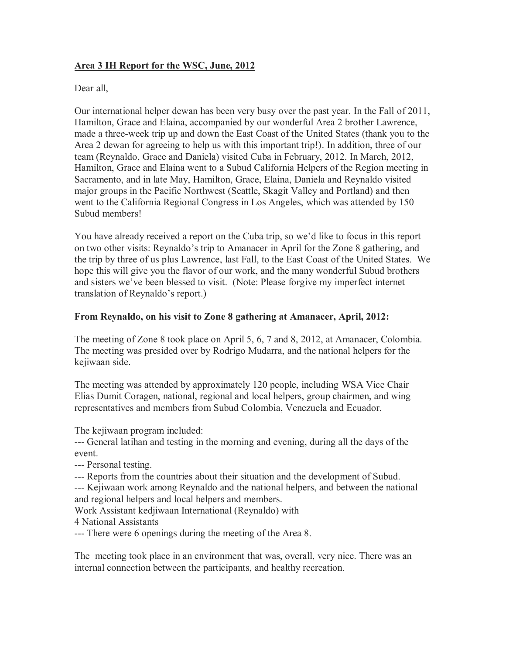## **Area 3 IH Report for the WSC, June, 2012**

Dear all,

Our international helper dewan has been very busy over the past year. In the Fall of 2011, Hamilton, Grace and Elaina, accompanied by our wonderful Area 2 brother Lawrence, made a three-week trip up and down the East Coast of the United States (thank you to the Area 2 dewan for agreeing to help us with this important trip!). In addition, three of our team (Reynaldo, Grace and Daniela) visited Cuba in February, 2012. In March, 2012, Hamilton, Grace and Elaina went to a Subud California Helpers of the Region meeting in Sacramento, and in late May, Hamilton, Grace, Elaina, Daniela and Reynaldo visited major groups in the Pacific Northwest (Seattle, Skagit Valley and Portland) and then went to the California Regional Congress in Los Angeles, which was attended by 150 Subud members!

You have already received a report on the Cuba trip, so we'd like to focus in this report on two other visits: Reynaldo's trip to Amanacer in April for the Zone 8 gathering, and the trip by three of us plus Lawrence, last Fall, to the East Coast of the United States. We hope this will give you the flavor of our work, and the many wonderful Subud brothers and sisters we've been blessed to visit. (Note: Please forgive my imperfect internet translation of Reynaldo's report.)

## **From Reynaldo, on his visit to Zone 8 gathering at Amanacer, April, 2012:**

The meeting of Zone 8 took place on April 5, 6, 7 and 8, 2012, at Amanacer, Colombia. The meeting was presided over by Rodrigo Mudarra, and the national helpers for the kejiwaan side.

The meeting was attended by approximately 120 people, including WSA Vice Chair Elias Dumit Coragen, national, regional and local helpers, group chairmen, and wing representatives and members from Subud Colombia, Venezuela and Ecuador.

The kejiwaan program included:

--- General latihan and testing in the morning and evening, during all the days of the event.

--- Personal testing.

--- Reports from the countries about their situation and the development of Subud.

--- Kejiwaan work among Reynaldo and the national helpers, and between the national and regional helpers and local helpers and members.

Work Assistant kedjiwaan International (Reynaldo) with

4 National Assistants

--- There were 6 openings during the meeting of the Area 8.

The meeting took place in an environment that was, overall, very nice. There was an internal connection between the participants, and healthy recreation.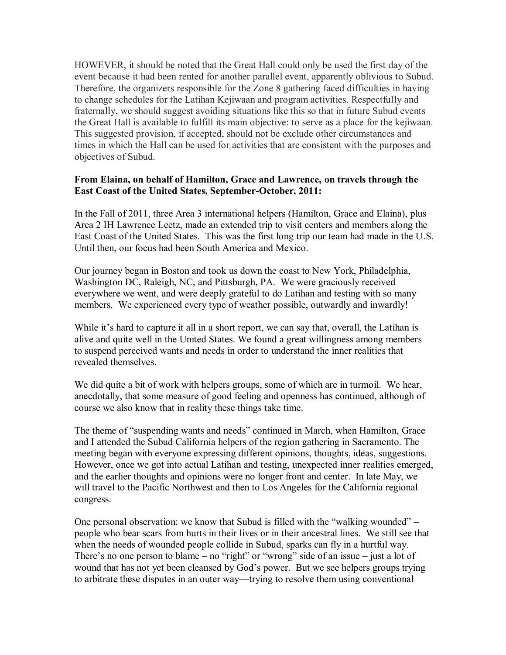HOWEVER, it should be noted that the Great Hall could only be used the first day of the event because it had been rented for another parallel event, apparently oblivious to Subud. Therefore, the organizers responsible for the Zone 8 gathering faced difficulties in having to change schedules for the Latihan Kejiwaan and program activities. Respectfully and fraternally, we should suggest avoiding situations like this so that in future Subud events the Great Hall is available to fulfill its main objective: to serve as a place for the kejiwaan. This suggested provision, if accepted, should not be exclude other circumstances and times in which the Hall can be used for activities that are consistent with the purposes and objectives of Subud.

## **From Elaina, on behalf of Hamilton, Grace and Lawrence, on travels through the East Coast of the United States, September-October, 2011:**

In the Fall of 2011, three Area 3 international helpers (Hamilton, Grace and Elaina), plus Area 2 IH Lawrence Leetz, made an extended trip to visit centers and members along the East Coast of the United States. This was the first long trip our team had made in the U.S. Until then, our focus had been South America and Mexico.

Our journey began in Boston and took us down the coast to New York, Philadelphia, Washington DC, Raleigh, NC, and Pittsburgh, PA. We were graciously received everywhere we went, and were deeply grateful to do Latihan and testing with so many members. We experienced every type of weather possible, outwardly and inwardly!

While it's hard to capture it all in a short report, we can say that, overall, the Latihan is alive and quite well in the United States. We found a great willingness among members to suspend perceived wants and needs in order to understand the inner realities that revealed themselves.

We did quite a bit of work with helpers groups, some of which are in turmoil. We hear, anecdotally, that some measure of good feeling and openness has continued, although of course we also know that in reality these things take time.

The theme of "suspending wants and needs" continued in March, when Hamilton, Grace and I attended the Subud California helpers of the region gathering in Sacramento. The meeting began with everyone expressing different opinions, thoughts, ideas, suggestions. However, once we got into actual Latihan and testing, unexpected inner realities emerged, and the earlier thoughts and opinions were no longer front and center. In late May, we will travel to the Pacific Northwest and then to Los Angeles for the California regional congress.

One personal observation: we know that Subud is filled with the "walking wounded" – people who bear scars from hurts in their lives or in their ancestral lines. We still see that when the needs of wounded people collide in Subud, sparks can fly in a hurtful way. There's no one person to blame – no "right" or "wrong" side of an issue – just a lot of wound that has not yet been cleansed by God's power. But we see helpers groups trying to arbitrate these disputes in an outer way—trying to resolve them using conventional